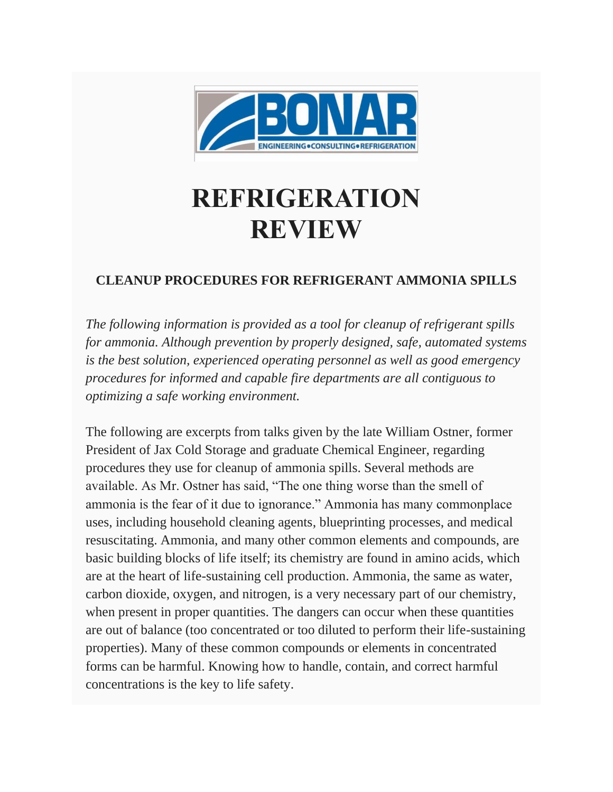

# **REFRIGERATION REVIEW**

## **CLEANUP PROCEDURES FOR REFRIGERANT AMMONIA SPILLS**

*The following information is provided as a tool for cleanup of refrigerant spills for ammonia. Although prevention by properly designed, safe, automated systems is the best solution, experienced operating personnel as well as good emergency procedures for informed and capable fire departments are all contiguous to optimizing a safe working environment.*

The following are excerpts from talks given by the late William Ostner, former President of Jax Cold Storage and graduate Chemical Engineer, regarding procedures they use for cleanup of ammonia spills. Several methods are available. As Mr. Ostner has said, "The one thing worse than the smell of ammonia is the fear of it due to ignorance." Ammonia has many commonplace uses, including household cleaning agents, blueprinting processes, and medical resuscitating. Ammonia, and many other common elements and compounds, are basic building blocks of life itself; its chemistry are found in amino acids, which are at the heart of life-sustaining cell production. Ammonia, the same as water, carbon dioxide, oxygen, and nitrogen, is a very necessary part of our chemistry, when present in proper quantities. The dangers can occur when these quantities are out of balance (too concentrated or too diluted to perform their life-sustaining properties). Many of these common compounds or elements in concentrated forms can be harmful. Knowing how to handle, contain, and correct harmful concentrations is the key to life safety.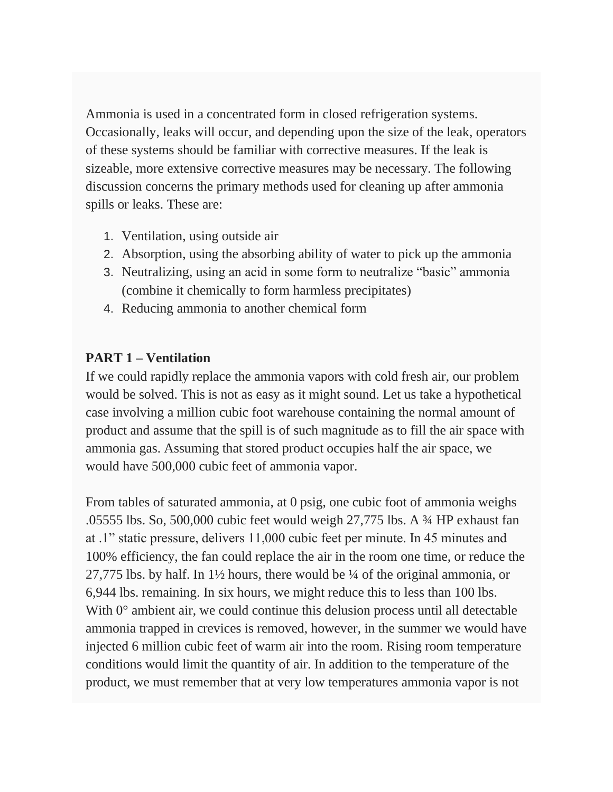Ammonia is used in a concentrated form in closed refrigeration systems. Occasionally, leaks will occur, and depending upon the size of the leak, operators of these systems should be familiar with corrective measures. If the leak is sizeable, more extensive corrective measures may be necessary. The following discussion concerns the primary methods used for cleaning up after ammonia spills or leaks. These are:

- 1. Ventilation, using outside air
- 2. Absorption, using the absorbing ability of water to pick up the ammonia
- 3. Neutralizing, using an acid in some form to neutralize "basic" ammonia (combine it chemically to form harmless precipitates)
- 4. Reducing ammonia to another chemical form

## **PART 1 – Ventilation**

If we could rapidly replace the ammonia vapors with cold fresh air, our problem would be solved. This is not as easy as it might sound. Let us take a hypothetical case involving a million cubic foot warehouse containing the normal amount of product and assume that the spill is of such magnitude as to fill the air space with ammonia gas. Assuming that stored product occupies half the air space, we would have 500,000 cubic feet of ammonia vapor.

From tables of saturated ammonia, at 0 psig, one cubic foot of ammonia weighs .05555 lbs. So, 500,000 cubic feet would weigh 27,775 lbs. A ¾ HP exhaust fan at .1" static pressure, delivers 11,000 cubic feet per minute. In 45 minutes and 100% efficiency, the fan could replace the air in the room one time, or reduce the 27,775 lbs. by half. In  $1\frac{1}{2}$  hours, there would be  $\frac{1}{4}$  of the original ammonia, or 6,944 lbs. remaining. In six hours, we might reduce this to less than 100 lbs. With  $0^{\circ}$  ambient air, we could continue this delusion process until all detectable ammonia trapped in crevices is removed, however, in the summer we would have injected 6 million cubic feet of warm air into the room. Rising room temperature conditions would limit the quantity of air. In addition to the temperature of the product, we must remember that at very low temperatures ammonia vapor is not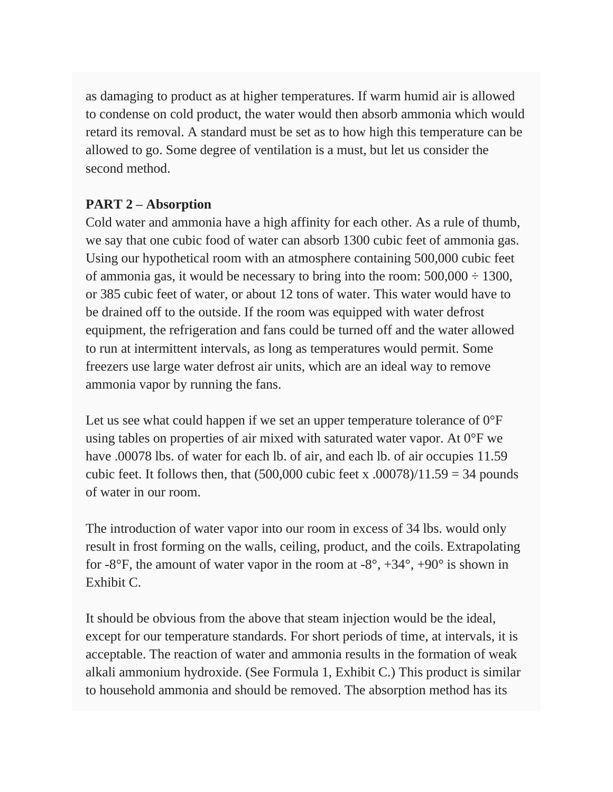as damaging to product as at higher temperatures. If warm humid air is allowed to condense on cold product, the water would then absorb ammonia which would retard its removal. A standard must be set as to how high this temperature can be allowed to go. Some degree of ventilation is a must, but let us consider the second method.

## **PART 2 – Absorption**

Cold water and ammonia have a high affinity for each other. As a rule of thumb, we say that one cubic food of water can absorb 1300 cubic feet of ammonia gas. Using our hypothetical room with an atmosphere containing 500,000 cubic feet of ammonia gas, it would be necessary to bring into the room:  $500,000 \div 1300$ , or 385 cubic feet of water, or about 12 tons of water. This water would have to be drained off to the outside. If the room was equipped with water defrost equipment, the refrigeration and fans could be turned off and the water allowed to run at intermittent intervals, as long as temperatures would permit. Some freezers use large water defrost air units, which are an ideal way to remove ammonia vapor by running the fans.

Let us see what could happen if we set an upper temperature tolerance of  $0^{\circ}$ F using tables on properties of air mixed with saturated water vapor. At 0°F we have .00078 lbs. of water for each lb. of air, and each lb. of air occupies 11.59 cubic feet. It follows then, that  $(500,000 \text{ cubic feet x} \cdot .00078)/11.59 = 34 \text{ pounds}$ of water in our room.

The introduction of water vapor into our room in excess of 34 lbs. would only result in frost forming on the walls, ceiling, product, and the coils. Extrapolating for  $-8^{\circ}$ F, the amount of water vapor in the room at  $-8^{\circ}$ ,  $+34^{\circ}$ ,  $+90^{\circ}$  is shown in Exhibit C.

It should be obvious from the above that steam injection would be the ideal, except for our temperature standards. For short periods of time, at intervals, it is acceptable. The reaction of water and ammonia results in the formation of weak alkali ammonium hydroxide. (See Formula 1, Exhibit C.) This product is similar to household ammonia and should be removed. The absorption method has its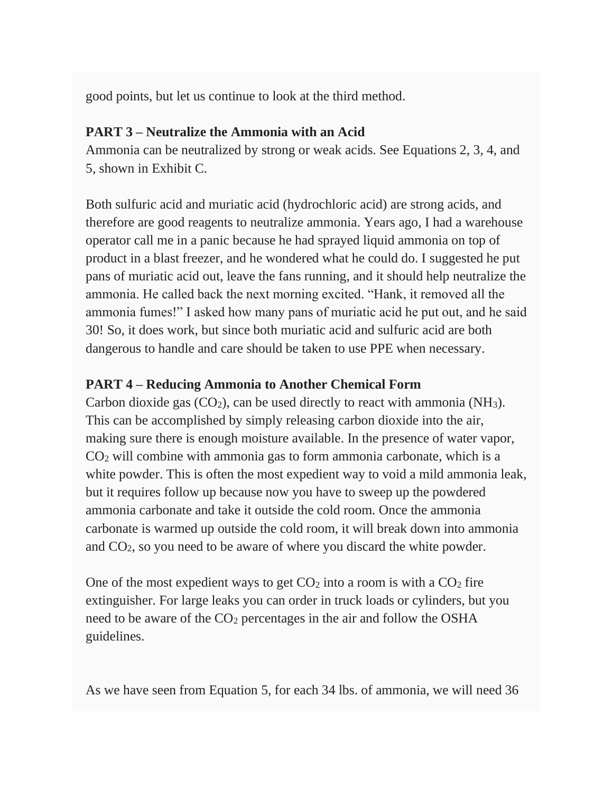good points, but let us continue to look at the third method.

## **PART 3 – Neutralize the Ammonia with an Acid**

Ammonia can be neutralized by strong or weak acids. See Equations 2, 3, 4, and 5, shown in Exhibit C.

Both sulfuric acid and muriatic acid (hydrochloric acid) are strong acids, and therefore are good reagents to neutralize ammonia. Years ago, I had a warehouse operator call me in a panic because he had sprayed liquid ammonia on top of product in a blast freezer, and he wondered what he could do. I suggested he put pans of muriatic acid out, leave the fans running, and it should help neutralize the ammonia. He called back the next morning excited. "Hank, it removed all the ammonia fumes!" I asked how many pans of muriatic acid he put out, and he said 30! So, it does work, but since both muriatic acid and sulfuric acid are both dangerous to handle and care should be taken to use PPE when necessary.

## **PART 4 – Reducing Ammonia to Another Chemical Form**

Carbon dioxide gas  $(CO_2)$ , can be used directly to react with ammonia (NH<sub>3</sub>). This can be accomplished by simply releasing carbon dioxide into the air, making sure there is enough moisture available. In the presence of water vapor, CO<sup>2</sup> will combine with ammonia gas to form ammonia carbonate, which is a white powder. This is often the most expedient way to void a mild ammonia leak, but it requires follow up because now you have to sweep up the powdered ammonia carbonate and take it outside the cold room. Once the ammonia carbonate is warmed up outside the cold room, it will break down into ammonia and CO2, so you need to be aware of where you discard the white powder.

One of the most expedient ways to get  $CO<sub>2</sub>$  into a room is with a  $CO<sub>2</sub>$  fire extinguisher. For large leaks you can order in truck loads or cylinders, but you need to be aware of the CO<sub>2</sub> percentages in the air and follow the OSHA guidelines.

As we have seen from Equation 5, for each 34 lbs. of ammonia, we will need 36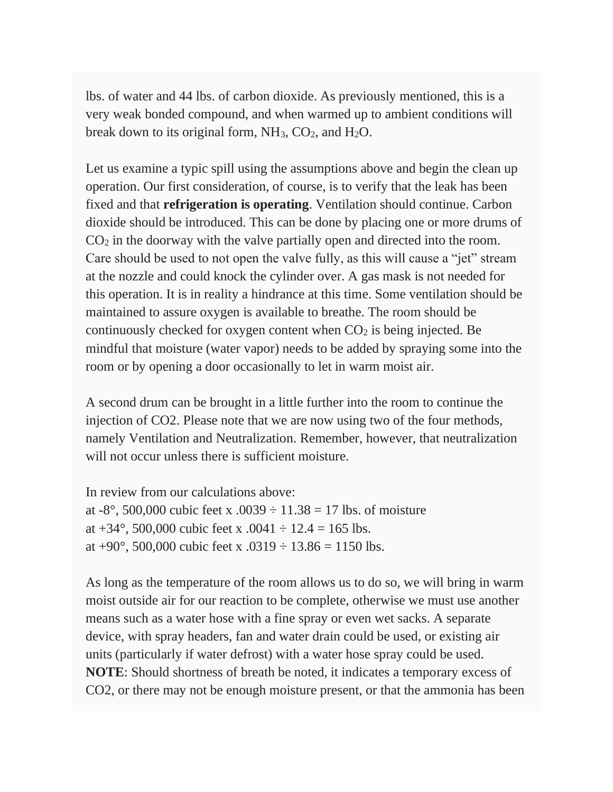lbs. of water and 44 lbs. of carbon dioxide. As previously mentioned, this is a very weak bonded compound, and when warmed up to ambient conditions will break down to its original form,  $NH_3$ ,  $CO_2$ , and  $H_2O$ .

Let us examine a typic spill using the assumptions above and begin the clean up operation. Our first consideration, of course, is to verify that the leak has been fixed and that **refrigeration is operating**. Ventilation should continue. Carbon dioxide should be introduced. This can be done by placing one or more drums of CO<sup>2</sup> in the doorway with the valve partially open and directed into the room. Care should be used to not open the valve fully, as this will cause a "jet" stream at the nozzle and could knock the cylinder over. A gas mask is not needed for this operation. It is in reality a hindrance at this time. Some ventilation should be maintained to assure oxygen is available to breathe. The room should be continuously checked for oxygen content when  $CO<sub>2</sub>$  is being injected. Be mindful that moisture (water vapor) needs to be added by spraying some into the room or by opening a door occasionally to let in warm moist air.

A second drum can be brought in a little further into the room to continue the injection of CO2. Please note that we are now using two of the four methods, namely Ventilation and Neutralization. Remember, however, that neutralization will not occur unless there is sufficient moisture.

In review from our calculations above: at -8°, 500,000 cubic feet x .0039  $\div$  11.38 = 17 lbs. of moisture at  $+34^{\circ}$ , 500,000 cubic feet x .0041  $\div$  12.4 = 165 lbs. at +90 $^{\circ}$ , 500,000 cubic feet x .0319  $\div$  13.86 = 1150 lbs.

As long as the temperature of the room allows us to do so, we will bring in warm moist outside air for our reaction to be complete, otherwise we must use another means such as a water hose with a fine spray or even wet sacks. A separate device, with spray headers, fan and water drain could be used, or existing air units (particularly if water defrost) with a water hose spray could be used. **NOTE**: Should shortness of breath be noted, it indicates a temporary excess of CO2, or there may not be enough moisture present, or that the ammonia has been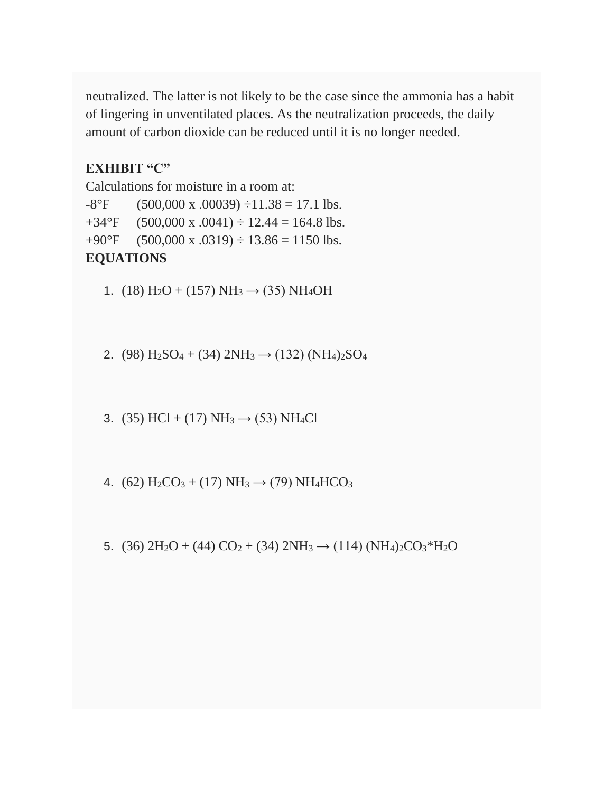neutralized. The latter is not likely to be the case since the ammonia has a habit of lingering in unventilated places. As the neutralization proceeds, the daily amount of carbon dioxide can be reduced until it is no longer needed.

#### **EXHIBIT "C"**

Calculations for moisture in a room at:  $-8^{\circ}$ F (500,000 x .00039)  $\div$ 11.38 = 17.1 lbs.  $+34^{\circ}$ F (500,000 x .0041)  $\div$  12.44 = 164.8 lbs.  $+90^{\circ}$ F (500,000 x .0319)  $\div$  13.86 = 1150 lbs. **EQUATIONS**

1. (18)  $H_2O + (157) NH_3 \rightarrow (35) NH_4OH$ 

2. (98)  $H_2SO_4 + (34) 2NH_3 \rightarrow (132) (NH_4)_2SO_4$ 

3. (35) HCl + (17) NH<sub>3</sub>  $\rightarrow$  (53) NH<sub>4</sub>Cl

4. (62)  $H_2CO_3 + (17) NH_3 \rightarrow (79) NH_4HCO_3$ 

5. (36)  $2H_2O + (44) CO_2 + (34) 2NH_3 \rightarrow (114) (NH_4)_2CO_3*H_2O$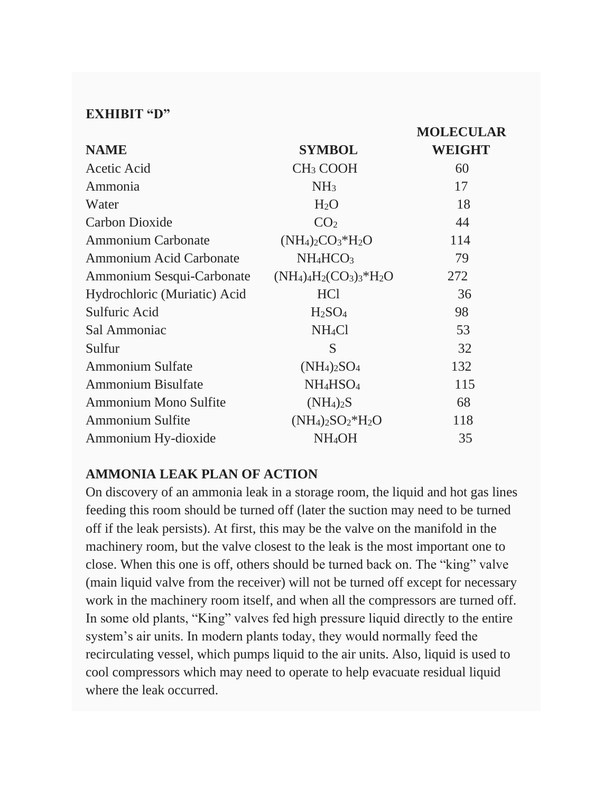#### **EXHIBIT "D"**

|                                |                                             | <b>MOLECULAR</b> |
|--------------------------------|---------------------------------------------|------------------|
| <b>NAME</b>                    | <b>SYMBOL</b>                               | <b>WEIGHT</b>    |
| Acetic Acid                    | CH <sub>3</sub> COOH                        | 60               |
| Ammonia                        | NH <sub>3</sub>                             | 17               |
| Water                          | H <sub>2</sub> O                            | 18               |
| Carbon Dioxide                 | CO <sub>2</sub>                             | 44               |
| <b>Ammonium Carbonate</b>      | $(NH_4)_2CO_3*H_2O$                         | 114              |
| <b>Ammonium Acid Carbonate</b> | $NH_4HCO_3$                                 | 79               |
| Ammonium Sesqui-Carbonate      | $(NH_4)_{4}H_2(CO_3)_{3}$ *H <sub>2</sub> O | 272              |
| Hydrochloric (Muriatic) Acid   | HC <sub>1</sub>                             | 36               |
| Sulfuric Acid                  | H <sub>2</sub> SO <sub>4</sub>              | 98               |
| Sal Ammoniac                   | NH <sub>4</sub> Cl                          | 53               |
| Sulfur                         | S                                           | 32               |
| <b>Ammonium Sulfate</b>        | $(NH_4)_2SO_4$                              | 132              |
| <b>Ammonium Bisulfate</b>      | NH <sub>4</sub> HSO <sub>4</sub>            | 115              |
| Ammonium Mono Sulfite          | $(NH_4)_2S$                                 | 68               |
| <b>Ammonium Sulfite</b>        | $(NH_4)_2SO_2*H_2O$                         | 118              |
| Ammonium Hy-dioxide            | NH <sub>4</sub> OH                          | 35               |

#### **AMMONIA LEAK PLAN OF ACTION**

On discovery of an ammonia leak in a storage room, the liquid and hot gas lines feeding this room should be turned off (later the suction may need to be turned off if the leak persists). At first, this may be the valve on the manifold in the machinery room, but the valve closest to the leak is the most important one to close. When this one is off, others should be turned back on. The "king" valve (main liquid valve from the receiver) will not be turned off except for necessary work in the machinery room itself, and when all the compressors are turned off. In some old plants, "King" valves fed high pressure liquid directly to the entire system's air units. In modern plants today, they would normally feed the recirculating vessel, which pumps liquid to the air units. Also, liquid is used to cool compressors which may need to operate to help evacuate residual liquid where the leak occurred.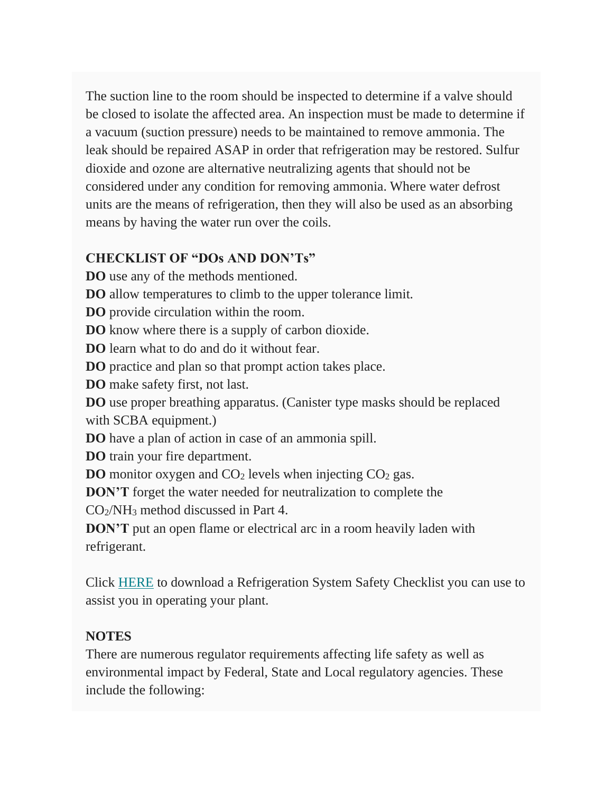The suction line to the room should be inspected to determine if a valve should be closed to isolate the affected area. An inspection must be made to determine if a vacuum (suction pressure) needs to be maintained to remove ammonia. The leak should be repaired ASAP in order that refrigeration may be restored. Sulfur dioxide and ozone are alternative neutralizing agents that should not be considered under any condition for removing ammonia. Where water defrost units are the means of refrigeration, then they will also be used as an absorbing means by having the water run over the coils.

## **CHECKLIST OF "DOs AND DON'Ts"**

- **DO** use any of the methods mentioned.
- **DO** allow temperatures to climb to the upper tolerance limit.
- **DO** provide circulation within the room.
- **DO** know where there is a supply of carbon dioxide.
- **DO** learn what to do and do it without fear.
- **DO** practice and plan so that prompt action takes place.
- **DO** make safety first, not last.

**DO** use proper breathing apparatus. (Canister type masks should be replaced with SCBA equipment.)

- **DO** have a plan of action in case of an ammonia spill.
- **DO** train your fire department.
- **DO** monitor oxygen and CO<sub>2</sub> levels when injecting CO<sub>2</sub> gas.
- **DON'T** forget the water needed for neutralization to complete the

CO2/NH<sup>3</sup> method discussed in Part 4.

**DON'T** put an open flame or electrical arc in a room heavily laden with refrigerant.

Click [HERE](https://www.bonareng.com/wp-content/uploads/2020/06/REFRIGERATION-SYSTEM-SAFETY-CHECKLIST-scaled.jpg) to download a Refrigeration System Safety Checklist you can use to assist you in operating your plant.

## **NOTES**

There are numerous regulator requirements affecting life safety as well as environmental impact by Federal, State and Local regulatory agencies. These include the following: